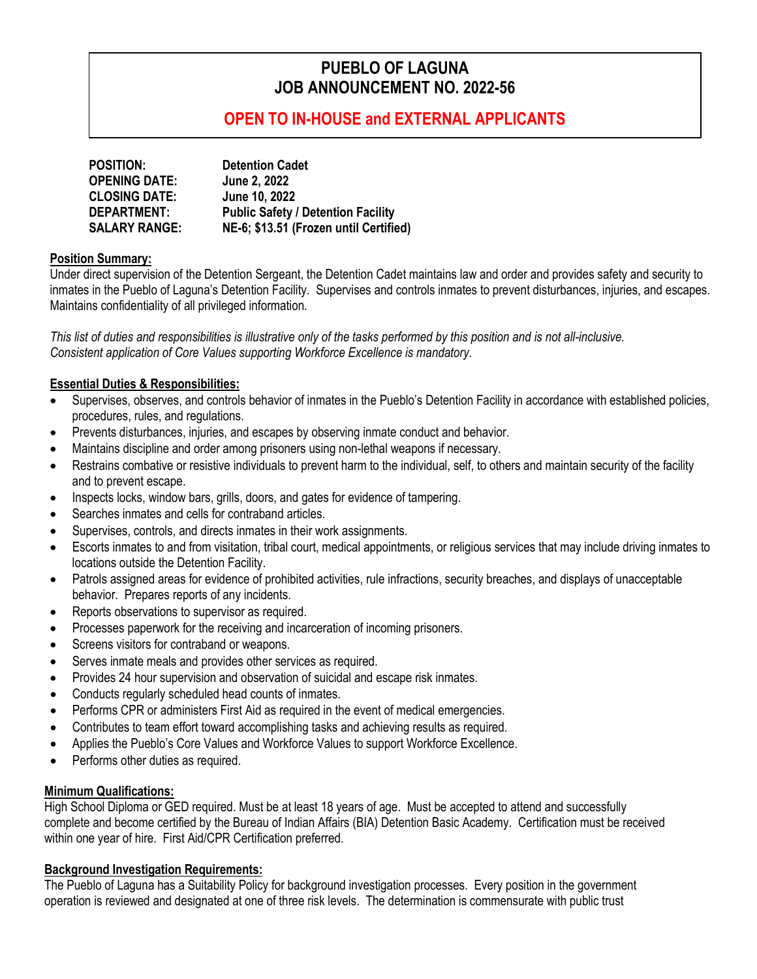# **PUEBLO OF LAGUNA JOB ANNOUNCEMENT NO. 2022-56**

## **OPEN TO IN-HOUSE and EXTERNAL APPLICANTS**

| <b>POSITION:</b>     | <b>Detention Cadet</b>                    |
|----------------------|-------------------------------------------|
| <b>OPENING DATE:</b> | <b>June 2, 2022</b>                       |
| <b>CLOSING DATE:</b> | June 10, 2022                             |
| DEPARTMENT:          | <b>Public Safety / Detention Facility</b> |
| <b>SALARY RANGE:</b> | NE-6; \$13.51 (Frozen until Certified)    |

#### **Position Summary:**

Under direct supervision of the Detention Sergeant, the Detention Cadet maintains law and order and provides safety and security to inmates in the Pueblo of Laguna's Detention Facility. Supervises and controls inmates to prevent disturbances, injuries, and escapes. Maintains confidentiality of all privileged information.

*This list of duties and responsibilities is illustrative only of the tasks performed by this position and is not all-inclusive. Consistent application of Core Values supporting Workforce Excellence is mandatory.*

#### **Essential Duties & Responsibilities:**

- Supervises, observes, and controls behavior of inmates in the Pueblo's Detention Facility in accordance with established policies, procedures, rules, and regulations.
- Prevents disturbances, injuries, and escapes by observing inmate conduct and behavior.
- Maintains discipline and order among prisoners using non-lethal weapons if necessary.
- Restrains combative or resistive individuals to prevent harm to the individual, self, to others and maintain security of the facility and to prevent escape.
- Inspects locks, window bars, grills, doors, and gates for evidence of tampering.
- Searches inmates and cells for contraband articles.
- Supervises, controls, and directs inmates in their work assignments.
- Escorts inmates to and from visitation, tribal court, medical appointments, or religious services that may include driving inmates to locations outside the Detention Facility.
- Patrols assigned areas for evidence of prohibited activities, rule infractions, security breaches, and displays of unacceptable behavior. Prepares reports of any incidents.
- Reports observations to supervisor as required.
- Processes paperwork for the receiving and incarceration of incoming prisoners.
- Screens visitors for contraband or weapons.
- Serves inmate meals and provides other services as required.
- Provides 24 hour supervision and observation of suicidal and escape risk inmates.
- Conducts regularly scheduled head counts of inmates.
- Performs CPR or administers First Aid as required in the event of medical emergencies.
- Contributes to team effort toward accomplishing tasks and achieving results as required.
- Applies the Pueblo's Core Values and Workforce Values to support Workforce Excellence.
- Performs other duties as required.

#### **Minimum Qualifications:**

High School Diploma or GED required. Must be at least 18 years of age. Must be accepted to attend and successfully complete and become certified by the Bureau of Indian Affairs (BIA) Detention Basic Academy. Certification must be received within one year of hire. First Aid/CPR Certification preferred.

#### **Background Investigation Requirements:**

The Pueblo of Laguna has a Suitability Policy for background investigation processes. Every position in the government operation is reviewed and designated at one of three risk levels. The determination is commensurate with public trust